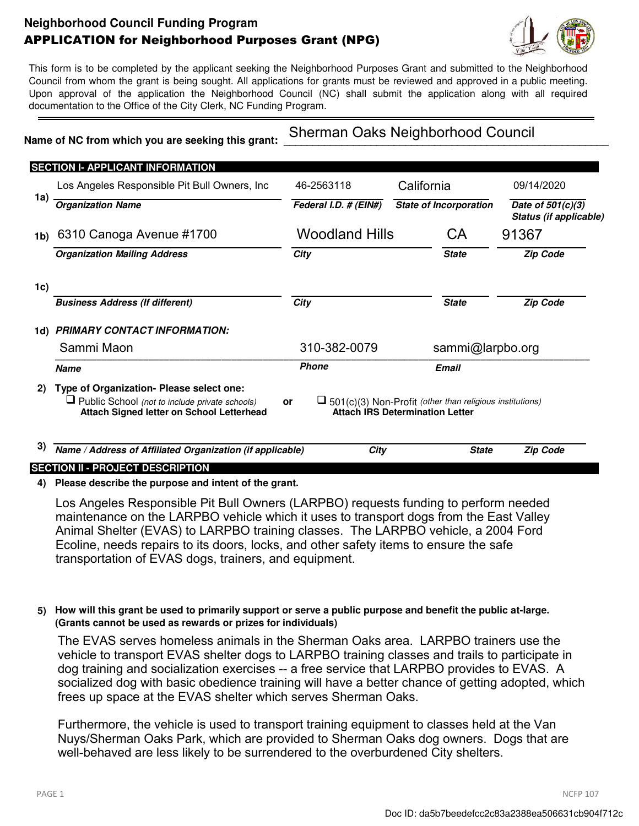# **Neighborhood Council Funding Program** APPLICATION for Neighborhood Purposes Grant (NPG)



This form is to be completed by the applicant seeking the Neighborhood Purposes Grant and submitted to the Neighborhood Council from whom the grant is being sought. All applications for grants must be reviewed and approved in a public meeting. Upon approval of the application the Neighborhood Council (NC) shall submit the application along with all required documentation to the Office of the City Clerk, NC Funding Program.

## Name of NC from which you are seeking this grant:

Sherman Oaks Neighborhood Council

| <b>SECTION I- APPLICANT INFORMATION</b>                                                                                                        |       |                                                                                     |                                                                                            |                                                                                                                                                                                              |
|------------------------------------------------------------------------------------------------------------------------------------------------|-------|-------------------------------------------------------------------------------------|--------------------------------------------------------------------------------------------|----------------------------------------------------------------------------------------------------------------------------------------------------------------------------------------------|
| Los Angeles Responsible Pit Bull Owners, Inc.                                                                                                  |       |                                                                                     |                                                                                            | 09/14/2020                                                                                                                                                                                   |
| <b>Organization Name</b>                                                                                                                       |       |                                                                                     |                                                                                            | Date of $501(c)(3)$<br>Status (if applicable)                                                                                                                                                |
| 6310 Canoga Avenue #1700<br>1b)                                                                                                                |       |                                                                                     | <b>CA</b>                                                                                  | 91367                                                                                                                                                                                        |
| <b>Organization Mailing Address</b>                                                                                                            |       |                                                                                     | <b>State</b>                                                                               | <b>Zip Code</b>                                                                                                                                                                              |
|                                                                                                                                                |       |                                                                                     |                                                                                            |                                                                                                                                                                                              |
| <b>Business Address (If different)</b>                                                                                                         |       |                                                                                     | <b>State</b>                                                                               | <b>Zip Code</b>                                                                                                                                                                              |
| <b>PRIMARY CONTACT INFORMATION:</b>                                                                                                            |       |                                                                                     |                                                                                            |                                                                                                                                                                                              |
| Sammi Maon                                                                                                                                     |       |                                                                                     |                                                                                            |                                                                                                                                                                                              |
| <b>Name</b>                                                                                                                                    |       |                                                                                     |                                                                                            |                                                                                                                                                                                              |
| Type of Organization- Please select one:<br>$\Box$ Public School (not to include private schools)<br>Attach Signed letter on School Letterhead | or    |                                                                                     |                                                                                            |                                                                                                                                                                                              |
|                                                                                                                                                |       |                                                                                     | <b>State</b>                                                                               | <b>Zip Code</b>                                                                                                                                                                              |
|                                                                                                                                                | 1a) l | 46-2563118<br>Federal I.D. # (EIN#)<br>City<br>City<br>310-382-0079<br><b>Phone</b> | <b>Woodland Hills</b><br>Name / Address of Affiliated Organization (if applicable)<br>City | California<br><b>State of Incorporation</b><br>sammi@larpbo.org<br><b>Email</b><br>$\Box$ 501(c)(3) Non-Profit (other than religious institutions)<br><b>Attach IRS Determination Letter</b> |

### **4) Please describe the purpose and intent of the grant.**

Los Angeles Responsible Pit Bull Owners (LARPBO) requests funding to perform needed maintenance on the LARPBO vehicle which it uses to transport dogs from the East Valley Animal Shelter (EVAS) to LARPBO training classes. The LARPBO vehicle, a 2004 Ford Ecoline, needs repairs to its doors, locks, and other safety items to ensure the safe transportation of EVAS dogs, trainers, and equipment.

### **5) How will this grant be used to primarily support or serve a public purpose and benefit the public at-large. (Grants cannot be used as rewards or prizes for individuals)**

The EVAS serves homeless animals in the Sherman Oaks area. LARPBO trainers use the vehicle to transport EVAS shelter dogs to LARPBO training classes and trails to participate in dog training and socialization exercises -- a free service that LARPBO provides to EVAS. A socialized dog with basic obedience training will have a better chance of getting adopted, which frees up space at the EVAS shelter which serves Sherman Oaks.

Furthermore, the vehicle is used to transport training equipment to classes held at the Van Nuys/Sherman Oaks Park, which are provided to Sherman Oaks dog owners. Dogs that are well-behaved are less likely to be surrendered to the overburdened City shelters.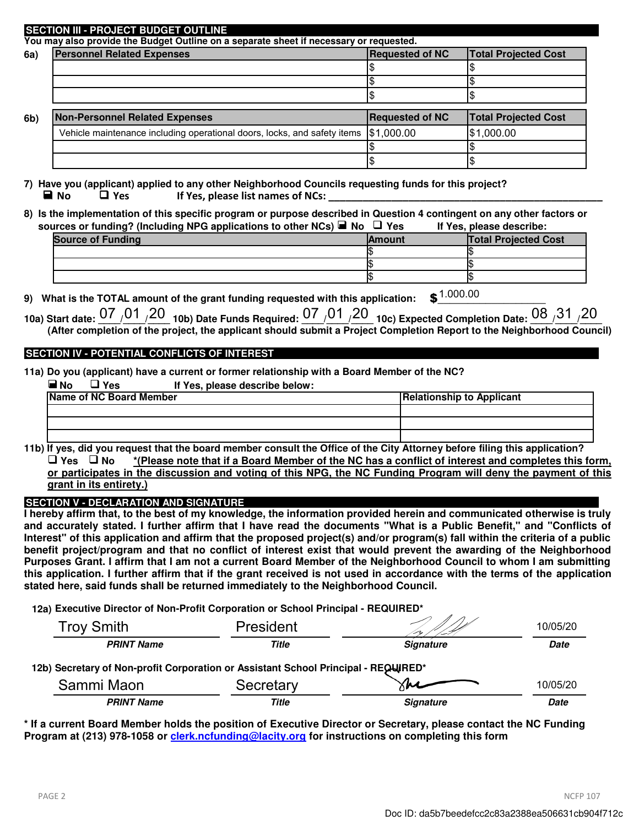#### **SECTION III - PROJECT BUDGET OUTLINE**

**You may also provide the Budget Outline on a separate sheet if necessary or requested.** 

| 6a) | <b>Personnel Related Expenses</b>                                        | <b>Requested of NC</b> | <b>Total Projected Cost</b> |
|-----|--------------------------------------------------------------------------|------------------------|-----------------------------|
|     |                                                                          |                        |                             |
|     |                                                                          |                        |                             |
|     |                                                                          |                        |                             |
|     |                                                                          |                        |                             |
|     | <b>Non-Personnel Related Expenses</b>                                    | <b>Requested of NC</b> | <b>Total Projected Cost</b> |
|     | Vehicle maintenance including operational doors, locks, and safety items | \$1,000.00             | \$1,000.00                  |
| 6b) |                                                                          |                        |                             |

**7) Have you (applicant) applied to any other Neighborhood Councils requesting funds for this project?** ■ **No** ■ Yes If Yes, please list names of NCs:

**8) Is the implementation of this specific program or purpose described in Question 4 contingent on any other factors or sources or funding? (Including NPG applications to other NCs) No Yes If Yes, please describe:** 

| <b>Source of Funding</b> | <b>IAmount</b> | <b>Total Projected Cost</b> |
|--------------------------|----------------|-----------------------------|
|                          |                |                             |
|                          |                |                             |
|                          |                |                             |

**9)** What is the TOTAL amount of the grant funding requested with this application:  $\binom{1.000.00}{ }$ 

|  | 10a) Start date: $07$ $/01$ $/20$ $\,$ 10b) Date Funds Required: $07$ $/01$ $/20$ $\,$ 10c) Expected Completion Date: $08$ $/31$ $/20$ |  |
|--|----------------------------------------------------------------------------------------------------------------------------------------|--|
|  | (After completion of the project, the applicant should submit a Project Completion Report to the Neighborhood Council)                 |  |

### **SECTION IV - POTENTIAL CONFLICTS OF INTEREST**

**11a) Do you (applicant) have a current or former relationship with a Board Member of the NC?**

| $\blacksquare$ No<br>$\sqcup$ Yes<br>If Yes, please describe below: |                                  |
|---------------------------------------------------------------------|----------------------------------|
| <b>Name of NC Board Member</b>                                      | <b>Relationship to Applicant</b> |
|                                                                     |                                  |
|                                                                     |                                  |
|                                                                     |                                  |

**11b) If yes, did you request that the board member consult the Office of the City Attorney before filing this application? Yes No \*(Please note that if a Board Member of the NC has a conflict of interest and completes this form, or participates in the discussion and voting of this NPG, the NC Funding Program will deny the payment of this grant in its entirety.)**

 **SECTION V - DECLARATION AND SIGNATURE** 

**I hereby affirm that, to the best of my knowledge, the information provided herein and communicated otherwise is truly and accurately stated. I further affirm that I have read the documents "What is a Public Benefit," and "Conflicts of Interest" of this application and affirm that the proposed project(s) and/or program(s) fall within the criteria of a public benefit project/program and that no conflict of interest exist that would prevent the awarding of the Neighborhood Purposes Grant. I affirm that I am not a current Board Member of the Neighborhood Council to whom I am submitting this application. I further affirm that if the grant received is not used in accordance with the terms of the application stated here, said funds shall be returned immediately to the Neighborhood Council.** 

**12a) Executive Director of Non-Profit Corporation or School Principal - REQUIRED\***

| <b>Troy Smith</b>                                                                  | President    |                     | 10/05/20    |
|------------------------------------------------------------------------------------|--------------|---------------------|-------------|
| <b>PRINT Name</b>                                                                  | <b>Title</b> | <b>Signature</b>    | <b>Date</b> |
| 12b) Secretary of Non-profit Corporation or Assistant School Principal - REQUIRED* |              |                     |             |
| Sammi Maon                                                                         | Secretary    | $\sqrt{\mathbf{M}}$ | 10/05/20    |
| <b>PRINT Name</b>                                                                  | Title        | <b>Signature</b>    | <b>Date</b> |

**\* If a current Board Member holds the position of Executive Director or Secretary, please contact the NC Funding Program at (213) 978-1058 or clerk.ncfunding@lacity.org for instructions on completing this form**